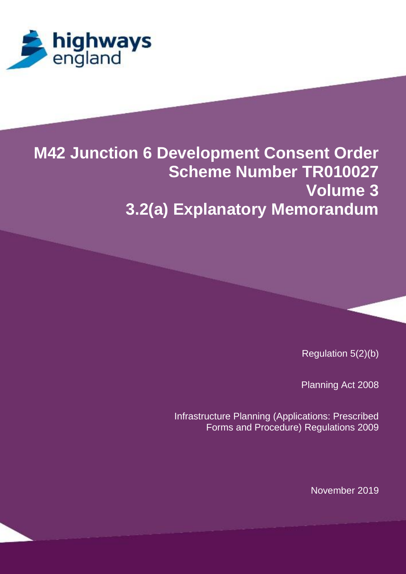

# **M42 Junction 6 Development Consent Order Scheme Number TR010027 Volume 3 3.2(a) Explanatory Memorandum**

**[APPLICATION DOCESSITISTICS]** 

**[Scheme Number TR100xx]**

Regulation  $5(2)(b)$ 

Regulation 5(2)(q) Infrastructure Planning (Applications: Prescribed Forms and Procedure) Regulations 2009 Planning Act 2008

> Infrastructure Planning (Applications: Prescribed Forms and Procedure) Regulations 2009

**[Scheme Number Transferred Number Transferred Number Transferred Number Transferred Number Transferred Number T** 

**[APPLICATION DOC REF] Statement of** 

November 2019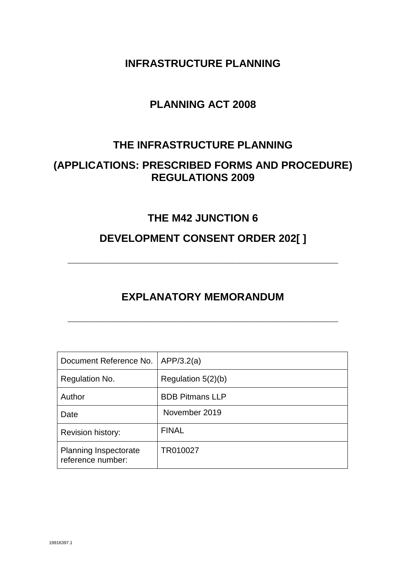**INFRASTRUCTURE PLANNING**

# **PLANNING ACT 2008**

# **THE INFRASTRUCTURE PLANNING**

# **(APPLICATIONS: PRESCRIBED FORMS AND PROCEDURE) REGULATIONS 2009**

# **THE M42 JUNCTION 6**

# **DEVELOPMENT CONSENT ORDER 202[ ]**

**\_\_\_\_\_\_\_\_\_\_\_\_\_\_\_\_\_\_\_\_\_\_\_\_\_\_\_\_\_\_\_\_\_\_\_\_\_\_\_\_\_\_\_\_\_\_**

# **EXPLANATORY MEMORANDUM**

**\_\_\_\_\_\_\_\_\_\_\_\_\_\_\_\_\_\_\_\_\_\_\_\_\_\_\_\_\_\_\_\_\_\_\_\_\_\_\_\_\_\_\_\_\_\_**

| Document Reference No.                            | APP/3.2(a)             |
|---------------------------------------------------|------------------------|
| Regulation No.                                    | Regulation 5(2)(b)     |
| Author                                            | <b>BDB Pitmans LLP</b> |
| Date                                              | November 2019          |
| <b>Revision history:</b>                          | <b>FINAL</b>           |
| <b>Planning Inspectorate</b><br>reference number: | TR010027               |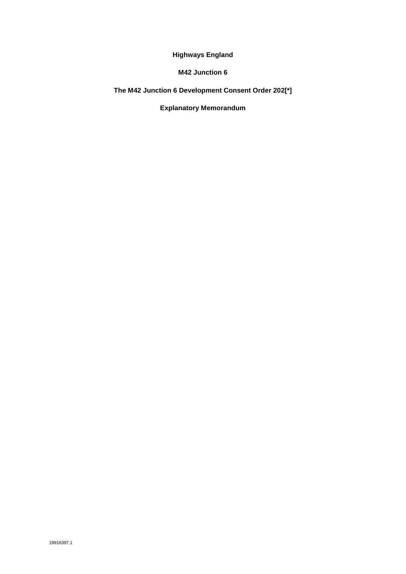**Highways England**

**M42 Junction 6** 

**The M42 Junction 6 Development Consent Order 202[\*]**

**Explanatory Memorandum**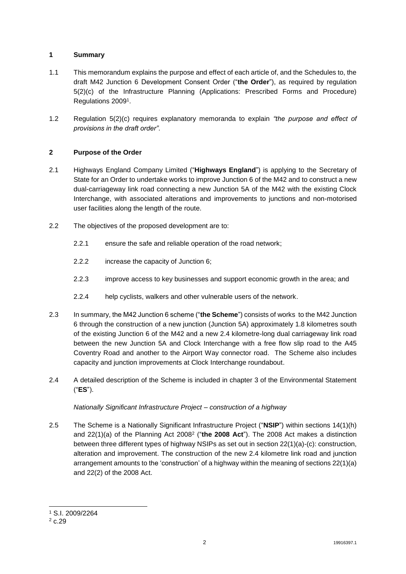### **1 Summary**

- 1.1 This memorandum explains the purpose and effect of each article of, and the Schedules to, the draft M42 Junction 6 Development Consent Order ("**the Order**"), as required by regulation 5(2)(c) of the Infrastructure Planning (Applications: Prescribed Forms and Procedure) Regulations 2009<sup>1</sup> .
- 1.2 Regulation 5(2)(c) requires explanatory memoranda to explain *"the purpose and effect of provisions in the draft order"*.

### **2 Purpose of the Order**

- 2.1 Highways England Company Limited ("**Highways England**") is applying to the Secretary of State for an Order to undertake works to improve Junction 6 of the M42 and to construct a new dual-carriageway link road connecting a new Junction 5A of the M42 with the existing Clock Interchange, with associated alterations and improvements to junctions and non-motorised user facilities along the length of the route.
- 2.2 The objectives of the proposed development are to:
	- 2.2.1 ensure the safe and reliable operation of the road network;
	- 2.2.2 increase the capacity of Junction 6;
	- 2.2.3 improve access to key businesses and support economic growth in the area; and
	- 2.2.4 help cyclists, walkers and other vulnerable users of the network.
- 2.3 In summary, the M42 Junction 6 scheme ("**the Scheme**") consists of works to the M42 Junction 6 through the construction of a new junction (Junction 5A) approximately 1.8 kilometres south of the existing Junction 6 of the M42 and a new 2.4 kilometre-long dual carriageway link road between the new Junction 5A and Clock Interchange with a free flow slip road to the A45 Coventry Road and another to the Airport Way connector road. The Scheme also includes capacity and junction improvements at Clock Interchange roundabout.
- 2.4 A detailed description of the Scheme is included in chapter 3 of the Environmental Statement ("**ES**").

#### *Nationally Significant Infrastructure Project – construction of a highway*

2.5 The Scheme is a Nationally Significant Infrastructure Project ("**NSIP**") within sections 14(1)(h) and 22(1)(a) of the Planning Act 2008<sup>2</sup> ("the 2008 Act"). The 2008 Act makes a distinction between three different types of highway NSIPs as set out in section 22(1)(a)-(c): construction, alteration and improvement. The construction of the new 2.4 kilometre link road and junction arrangement amounts to the 'construction' of a highway within the meaning of sections 22(1)(a) and 22(2) of the 2008 Act.

-

<sup>1</sup> S.I. 2009/2264

 $2 c.29$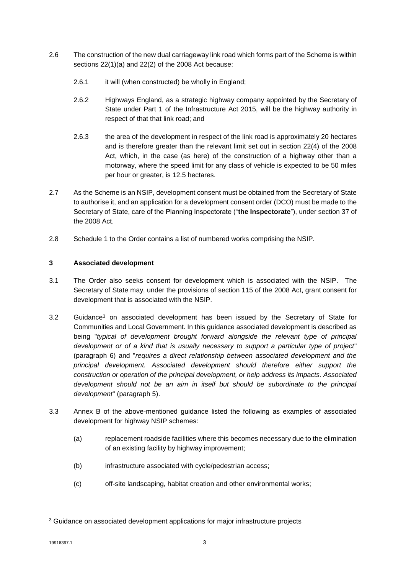- 2.6 The construction of the new dual carriageway link road which forms part of the Scheme is within sections 22(1)(a) and 22(2) of the 2008 Act because:
	- 2.6.1 it will (when constructed) be wholly in England;
	- 2.6.2 Highways England, as a strategic highway company appointed by the Secretary of State under Part 1 of the Infrastructure Act 2015, will be the highway authority in respect of that that link road; and
	- 2.6.3 the area of the development in respect of the link road is approximately 20 hectares and is therefore greater than the relevant limit set out in section 22(4) of the 2008 Act, which, in the case (as here) of the construction of a highway other than a motorway, where the speed limit for any class of vehicle is expected to be 50 miles per hour or greater, is 12.5 hectares.
- 2.7 As the Scheme is an NSIP, development consent must be obtained from the Secretary of State to authorise it, and an application for a development consent order (DCO) must be made to the Secretary of State, care of the Planning Inspectorate ("**the Inspectorate**"), under section 37 of the 2008 Act.
- 2.8 Schedule 1 to the Order contains a list of numbered works comprising the NSIP.

### **3 Associated development**

- 3.1 The Order also seeks consent for development which is associated with the NSIP. The Secretary of State may, under the provisions of section 115 of the 2008 Act, grant consent for development that is associated with the NSIP.
- 3.2 Guidance<sup>3</sup> on associated development has been issued by the Secretary of State for Communities and Local Government. In this guidance associated development is described as being "*typical of development brought forward alongside the relevant type of principal development or of a kind that is usually necessary to support a particular type of project*" (paragraph 6) and "*requires a direct relationship between associated development and the principal development. Associated development should therefore either support the construction or operation of the principal development, or help address its impacts. Associated development should not be an aim in itself but should be subordinate to the principal development*" (paragraph 5).
- 3.3 Annex B of the above-mentioned guidance listed the following as examples of associated development for highway NSIP schemes:
	- (a) replacement roadside facilities where this becomes necessary due to the elimination of an existing facility by highway improvement;
	- (b) infrastructure associated with cycle/pedestrian access;
	- (c) off-site landscaping, habitat creation and other environmental works;

<sup>-</sup><sup>3</sup> Guidance on associated development applications for major infrastructure projects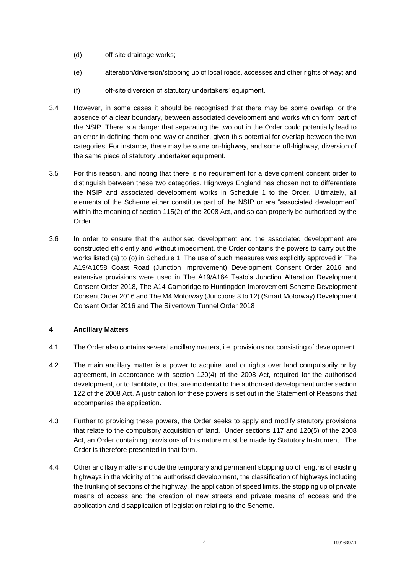- (d) off-site drainage works;
- (e) alteration/diversion/stopping up of local roads, accesses and other rights of way; and
- (f) off-site diversion of statutory undertakers' equipment.
- 3.4 However, in some cases it should be recognised that there may be some overlap, or the absence of a clear boundary, between associated development and works which form part of the NSIP. There is a danger that separating the two out in the Order could potentially lead to an error in defining them one way or another, given this potential for overlap between the two categories. For instance, there may be some on-highway, and some off-highway, diversion of the same piece of statutory undertaker equipment.
- 3.5 For this reason, and noting that there is no requirement for a development consent order to distinguish between these two categories, Highways England has chosen not to differentiate the NSIP and associated development works in Schedule 1 to the Order. Ultimately, all elements of the Scheme either constitute part of the NSIP or are "associated development" within the meaning of section 115(2) of the 2008 Act, and so can properly be authorised by the Order.
- 3.6 In order to ensure that the authorised development and the associated development are constructed efficiently and without impediment, the Order contains the powers to carry out the works listed (a) to (o) in Schedule 1. The use of such measures was explicitly approved in The A19/A1058 Coast Road (Junction Improvement) Development Consent Order 2016 and extensive provisions were used in The A19/A184 Testo's Junction Alteration Development Consent Order 2018, The A14 Cambridge to Huntingdon Improvement Scheme Development Consent Order 2016 and The M4 Motorway (Junctions 3 to 12) (Smart Motorway) Development Consent Order 2016 and The Silvertown Tunnel Order 2018

## **4 Ancillary Matters**

- 4.1 The Order also contains several ancillary matters, i.e. provisions not consisting of development.
- 4.2 The main ancillary matter is a power to acquire land or rights over land compulsorily or by agreement, in accordance with section 120(4) of the 2008 Act, required for the authorised development, or to facilitate, or that are incidental to the authorised development under section 122 of the 2008 Act. A justification for these powers is set out in the Statement of Reasons that accompanies the application.
- 4.3 Further to providing these powers, the Order seeks to apply and modify statutory provisions that relate to the compulsory acquisition of land. Under sections 117 and 120(5) of the 2008 Act, an Order containing provisions of this nature must be made by Statutory Instrument. The Order is therefore presented in that form.
- 4.4 Other ancillary matters include the temporary and permanent stopping up of lengths of existing highways in the vicinity of the authorised development, the classification of highways including the trunking of sections of the highway, the application of speed limits, the stopping up of private means of access and the creation of new streets and private means of access and the application and disapplication of legislation relating to the Scheme.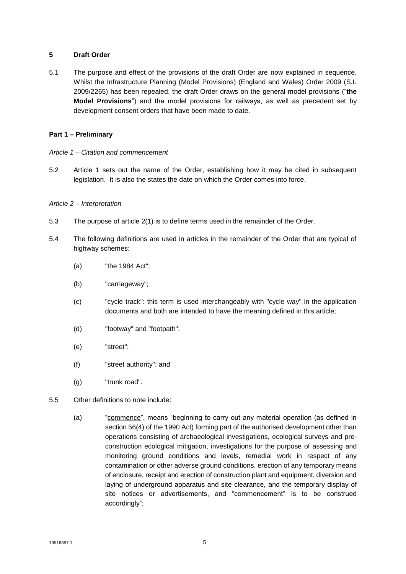#### **5 Draft Order**

5.1 The purpose and effect of the provisions of the draft Order are now explained in sequence. Whilst the Infrastructure Planning (Model Provisions) (England and Wales) Order 2009 (S.I. 2009/2265) has been repealed, the draft Order draws on the general model provisions ("**the Model Provisions**") and the model provisions for railways, as well as precedent set by development consent orders that have been made to date.

#### **Part 1 – Preliminary**

- *Article 1 – Citation and commencement*
- 5.2 Article 1 sets out the name of the Order, establishing how it may be cited in subsequent legislation. It is also the states the date on which the Order comes into force.

#### *Article 2 – Interpretation*

- 5.3 The purpose of article 2(1) is to define terms used in the remainder of the Order.
- 5.4 The following definitions are used in articles in the remainder of the Order that are typical of highway schemes:
	- (a) "the 1984 Act";
	- (b) "carriageway";
	- (c) "cycle track": this term is used interchangeably with "cycle way" in the application documents and both are intended to have the meaning defined in this article;
	- (d) "footway" and "footpath";
	- (e) "street";
	- (f) "street authority"; and
	- (g) "trunk road".
- 5.5 Other definitions to note include:
	- (a) "commence", means "beginning to carry out any material operation (as defined in section 56(4) of the 1990 Act) forming part of the authorised development other than operations consisting of archaeological investigations, ecological surveys and preconstruction ecological mitigation, investigations for the purpose of assessing and monitoring ground conditions and levels, remedial work in respect of any contamination or other adverse ground conditions, erection of any temporary means of enclosure, receipt and erection of construction plant and equipment, diversion and laying of underground apparatus and site clearance, and the temporary display of site notices or advertisements, and "commencement" is to be construed accordingly";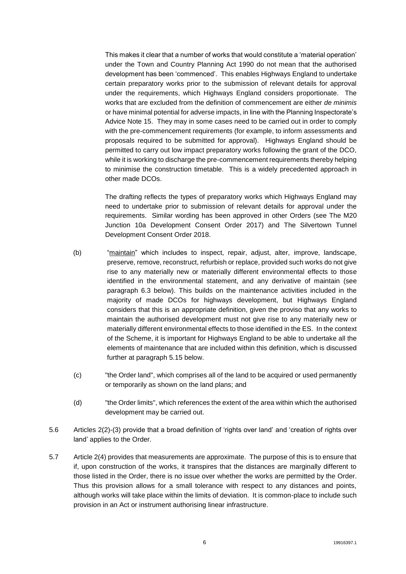This makes it clear that a number of works that would constitute a 'material operation' under the Town and Country Planning Act 1990 do not mean that the authorised development has been 'commenced'. This enables Highways England to undertake certain preparatory works prior to the submission of relevant details for approval under the requirements, which Highways England considers proportionate. The works that are excluded from the definition of commencement are either *de minimis* or have minimal potential for adverse impacts, in line with the Planning Inspectorate's Advice Note 15. They may in some cases need to be carried out in order to comply with the pre-commencement requirements (for example, to inform assessments and proposals required to be submitted for approval). Highways England should be permitted to carry out low impact preparatory works following the grant of the DCO, while it is working to discharge the pre-commencement requirements thereby helping to minimise the construction timetable. This is a widely precedented approach in other made DCOs.

The drafting reflects the types of preparatory works which Highways England may need to undertake prior to submission of relevant details for approval under the requirements. Similar wording has been approved in other Orders (see The M20 Junction 10a Development Consent Order 2017) and The Silvertown Tunnel Development Consent Order 2018.

- (b) "maintain" which includes to inspect, repair, adjust, alter, improve, landscape, preserve, remove, reconstruct, refurbish or replace, provided such works do not give rise to any materially new or materially different environmental effects to those identified in the environmental statement, and any derivative of maintain (see paragraph 6.3 below). This builds on the maintenance activities included in the majority of made DCOs for highways development, but Highways England considers that this is an appropriate definition, given the proviso that any works to maintain the authorised development must not give rise to any materially new or materially different environmental effects to those identified in the ES. In the context of the Scheme, it is important for Highways England to be able to undertake all the elements of maintenance that are included within this definition, which is discussed further at paragraph 5.15 below.
- (c) "the Order land", which comprises all of the land to be acquired or used permanently or temporarily as shown on the land plans; and
- (d) "the Order limits", which references the extent of the area within which the authorised development may be carried out.
- 5.6 Articles 2(2)-(3) provide that a broad definition of 'rights over land' and 'creation of rights over land' applies to the Order.
- 5.7 Article 2(4) provides that measurements are approximate. The purpose of this is to ensure that if, upon construction of the works, it transpires that the distances are marginally different to those listed in the Order, there is no issue over whether the works are permitted by the Order. Thus this provision allows for a small tolerance with respect to any distances and points, although works will take place within the limits of deviation. It is common-place to include such provision in an Act or instrument authorising linear infrastructure.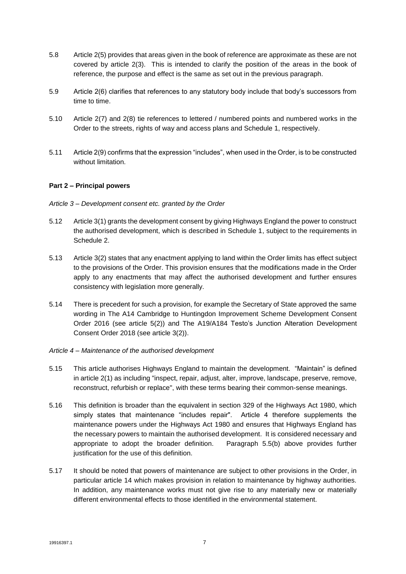- 5.8 Article 2(5) provides that areas given in the book of reference are approximate as these are not covered by article 2(3). This is intended to clarify the position of the areas in the book of reference, the purpose and effect is the same as set out in the previous paragraph.
- 5.9 Article 2(6) clarifies that references to any statutory body include that body's successors from time to time.
- 5.10 Article 2(7) and 2(8) tie references to lettered / numbered points and numbered works in the Order to the streets, rights of way and access plans and Schedule 1, respectively.
- 5.11 Article 2(9) confirms that the expression "includes", when used in the Order, is to be constructed without limitation.

#### **Part 2 – Principal powers**

#### *Article 3 – Development consent etc. granted by the Order*

- 5.12 Article 3(1) grants the development consent by giving Highways England the power to construct the authorised development, which is described in Schedule 1, subject to the requirements in Schedule 2.
- 5.13 Article 3(2) states that any enactment applying to land within the Order limits has effect subject to the provisions of the Order. This provision ensures that the modifications made in the Order apply to any enactments that may affect the authorised development and further ensures consistency with legislation more generally.
- 5.14 There is precedent for such a provision, for example the Secretary of State approved the same wording in The A14 Cambridge to Huntingdon Improvement Scheme Development Consent Order 2016 (see article 5(2)) and The A19/A184 Testo's Junction Alteration Development Consent Order 2018 (see article 3(2)).
- *Article 4 – Maintenance of the authorised development*
- 5.15 This article authorises Highways England to maintain the development. "Maintain" is defined in article 2(1) as including "inspect, repair, adjust, alter, improve, landscape, preserve, remove, reconstruct, refurbish or replace", with these terms bearing their common-sense meanings.
- 5.16 This definition is broader than the equivalent in section 329 of the Highways Act 1980, which simply states that maintenance "includes repair". Article 4 therefore supplements the maintenance powers under the Highways Act 1980 and ensures that Highways England has the necessary powers to maintain the authorised development. It is considered necessary and appropriate to adopt the broader definition. Paragraph 5.5(b) above provides further justification for the use of this definition.
- 5.17 It should be noted that powers of maintenance are subject to other provisions in the Order, in particular article 14 which makes provision in relation to maintenance by highway authorities. In addition, any maintenance works must not give rise to any materially new or materially different environmental effects to those identified in the environmental statement.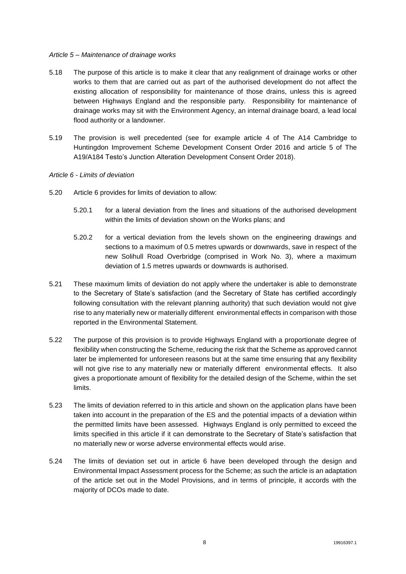#### *Article 5 – Maintenance of drainage works*

- 5.18 The purpose of this article is to make it clear that any realignment of drainage works or other works to them that are carried out as part of the authorised development do not affect the existing allocation of responsibility for maintenance of those drains, unless this is agreed between Highways England and the responsible party. Responsibility for maintenance of drainage works may sit with the Environment Agency, an internal drainage board, a lead local flood authority or a landowner.
- 5.19 The provision is well precedented (see for example article 4 of The A14 Cambridge to Huntingdon Improvement Scheme Development Consent Order 2016 and article 5 of The A19/A184 Testo's Junction Alteration Development Consent Order 2018).

#### *Article 6 - Limits of deviation*

- 5.20 Article 6 provides for limits of deviation to allow:
	- 5.20.1 for a lateral deviation from the lines and situations of the authorised development within the limits of deviation shown on the Works plans; and
	- 5.20.2 for a vertical deviation from the levels shown on the engineering drawings and sections to a maximum of 0.5 metres upwards or downwards, save in respect of the new Solihull Road Overbridge (comprised in Work No. 3), where a maximum deviation of 1.5 metres upwards or downwards is authorised.
- 5.21 These maximum limits of deviation do not apply where the undertaker is able to demonstrate to the Secretary of State's satisfaction (and the Secretary of State has certified accordingly following consultation with the relevant planning authority) that such deviation would not give rise to any materially new or materially different environmental effects in comparison with those reported in the Environmental Statement.
- 5.22 The purpose of this provision is to provide Highways England with a proportionate degree of flexibility when constructing the Scheme, reducing the risk that the Scheme as approved cannot later be implemented for unforeseen reasons but at the same time ensuring that any flexibility will not give rise to any materially new or materially different environmental effects. It also gives a proportionate amount of flexibility for the detailed design of the Scheme, within the set limits.
- 5.23 The limits of deviation referred to in this article and shown on the application plans have been taken into account in the preparation of the ES and the potential impacts of a deviation within the permitted limits have been assessed. Highways England is only permitted to exceed the limits specified in this article if it can demonstrate to the Secretary of State's satisfaction that no materially new or worse adverse environmental effects would arise.
- 5.24 The limits of deviation set out in article 6 have been developed through the design and Environmental Impact Assessment process for the Scheme; as such the article is an adaptation of the article set out in the Model Provisions, and in terms of principle, it accords with the majority of DCOs made to date.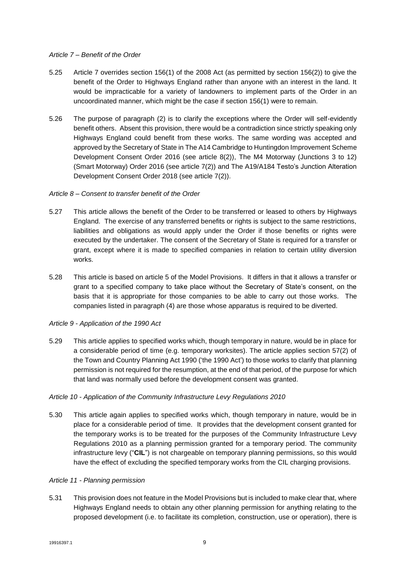#### *Article 7 – Benefit of the Order*

- 5.25 Article 7 overrides section 156(1) of the 2008 Act (as permitted by section 156(2)) to give the benefit of the Order to Highways England rather than anyone with an interest in the land. It would be impracticable for a variety of landowners to implement parts of the Order in an uncoordinated manner, which might be the case if section 156(1) were to remain.
- 5.26 The purpose of paragraph (2) is to clarify the exceptions where the Order will self-evidently benefit others. Absent this provision, there would be a contradiction since strictly speaking only Highways England could benefit from these works. The same wording was accepted and approved by the Secretary of State in The A14 Cambridge to Huntingdon Improvement Scheme Development Consent Order 2016 (see article 8(2)), The M4 Motorway (Junctions 3 to 12) (Smart Motorway) Order 2016 (see article 7(2)) and The A19/A184 Testo's Junction Alteration Development Consent Order 2018 (see article 7(2)).

#### *Article 8 – Consent to transfer benefit of the Order*

- 5.27 This article allows the benefit of the Order to be transferred or leased to others by Highways England. The exercise of any transferred benefits or rights is subject to the same restrictions, liabilities and obligations as would apply under the Order if those benefits or rights were executed by the undertaker. The consent of the Secretary of State is required for a transfer or grant, except where it is made to specified companies in relation to certain utility diversion works.
- 5.28 This article is based on article 5 of the Model Provisions. It differs in that it allows a transfer or grant to a specified company to take place without the Secretary of State's consent, on the basis that it is appropriate for those companies to be able to carry out those works. The companies listed in paragraph (4) are those whose apparatus is required to be diverted.

#### *Article 9 - Application of the 1990 Act*

5.29 This article applies to specified works which, though temporary in nature, would be in place for a considerable period of time (e.g. temporary worksites). The article applies section 57(2) of the Town and Country Planning Act 1990 ('the 1990 Act') to those works to clarify that planning permission is not required for the resumption, at the end of that period, of the purpose for which that land was normally used before the development consent was granted.

#### *Article 10 - Application of the Community Infrastructure Levy Regulations 2010*

5.30 This article again applies to specified works which, though temporary in nature, would be in place for a considerable period of time. It provides that the development consent granted for the temporary works is to be treated for the purposes of the Community Infrastructure Levy Regulations 2010 as a planning permission granted for a temporary period. The community infrastructure levy ("**CIL**") is not chargeable on temporary planning permissions, so this would have the effect of excluding the specified temporary works from the CIL charging provisions.

#### *Article 11 - Planning permission*

5.31 This provision does not feature in the Model Provisions but is included to make clear that, where Highways England needs to obtain any other planning permission for anything relating to the proposed development (i.e. to facilitate its completion, construction, use or operation), there is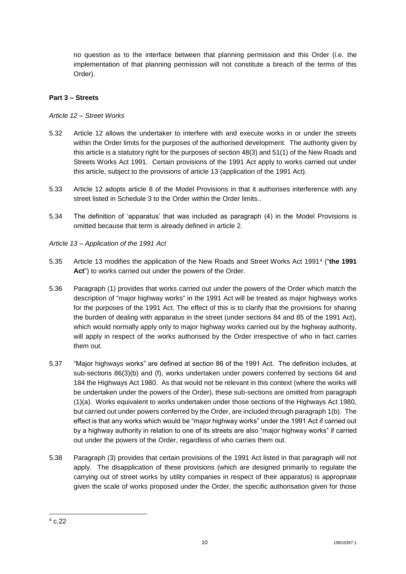no question as to the interface between that planning permission and this Order (i.e. the implementation of that planning permission will not constitute a breach of the terms of this Order).

### **Part 3 – Streets**

### *Article 12 – Street Works*

- 5.32 Article 12 allows the undertaker to interfere with and execute works in or under the streets within the Order limits for the purposes of the authorised development. The authority given by this article is a statutory right for the purposes of section 48(3) and 51(1) of the New Roads and Streets Works Act 1991. Certain provisions of the 1991 Act apply to works carried out under this article, subject to the provisions of article 13 (application of the 1991 Act).
- 5.33 Article 12 adopts article 8 of the Model Provisions in that it authorises interference with any street listed in Schedule 3 to the Order within the Order limits..
- 5.34 The definition of 'apparatus' that was included as paragraph (4) in the Model Provisions is omitted because that term is already defined in article 2.
- *Article 13 – Application of the 1991 Act*
- 5.35 Article 13 modifies the application of the New Roads and Street Works Act 1991<sup>4</sup> ("**the 1991 Act**") to works carried out under the powers of the Order.
- 5.36 Paragraph (1) provides that works carried out under the powers of the Order which match the description of "major highway works" in the 1991 Act will be treated as major highways works for the purposes of the 1991 Act. The effect of this is to clarify that the provisions for sharing the burden of dealing with apparatus in the street (under sections 84 and 85 of the 1991 Act), which would normally apply only to major highway works carried out by the highway authority, will apply in respect of the works authorised by the Order irrespective of who in fact carries them out.
- 5.37 "Major highways works" are defined at section 86 of the 1991 Act. The definition includes, at sub-sections 86(3)(b) and (f), works undertaken under powers conferred by sections 64 and 184 the Highways Act 1980. As that would not be relevant in this context (where the works will be undertaken under the powers of the Order), these sub-sections are omitted from paragraph (1)(a). Works equivalent to works undertaken under those sections of the Highways Act 1980, but carried out under powers conferred by the Order, are included through paragraph 1(b). The effect is that any works which would be "major highway works" under the 1991 Act if carried out by a highway authority in relation to one of its streets are also "major highway works" if carried out under the powers of the Order, regardless of who carries them out.
- 5.38 Paragraph (3) provides that certain provisions of the 1991 Act listed in that paragraph will not apply. The disapplication of these provisions (which are designed primarily to regulate the carrying out of street works by utility companies in respect of their apparatus) is appropriate given the scale of works proposed under the Order, the specific authorisation given for those

<sup>-</sup> $4c.22$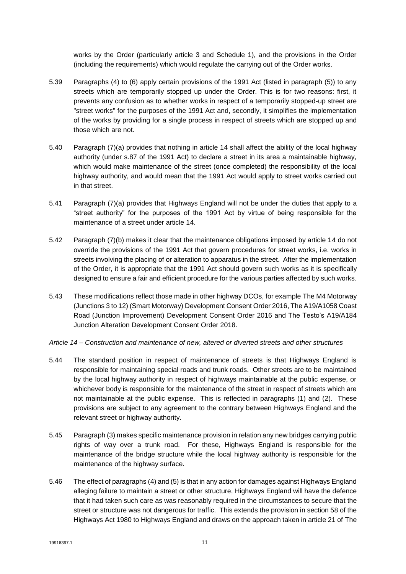works by the Order (particularly article 3 and Schedule 1), and the provisions in the Order (including the requirements) which would regulate the carrying out of the Order works.

- 5.39 Paragraphs (4) to (6) apply certain provisions of the 1991 Act (listed in paragraph (5)) to any streets which are temporarily stopped up under the Order. This is for two reasons: first, it prevents any confusion as to whether works in respect of a temporarily stopped-up street are "street works" for the purposes of the 1991 Act and, secondly, it simplifies the implementation of the works by providing for a single process in respect of streets which are stopped up and those which are not.
- 5.40 Paragraph (7)(a) provides that nothing in article 14 shall affect the ability of the local highway authority (under s.87 of the 1991 Act) to declare a street in its area a maintainable highway, which would make maintenance of the street (once completed) the responsibility of the local highway authority, and would mean that the 1991 Act would apply to street works carried out in that street.
- 5.41 Paragraph (7)(a) provides that Highways England will not be under the duties that apply to a "street authority" for the purposes of the 1991 Act by virtue of being responsible for the maintenance of a street under article 14.
- 5.42 Paragraph (7)(b) makes it clear that the maintenance obligations imposed by article 14 do not override the provisions of the 1991 Act that govern procedures for street works, i.e. works in streets involving the placing of or alteration to apparatus in the street. After the implementation of the Order, it is appropriate that the 1991 Act should govern such works as it is specifically designed to ensure a fair and efficient procedure for the various parties affected by such works.
- 5.43 These modifications reflect those made in other highway DCOs, for example The M4 Motorway (Junctions 3 to 12) (Smart Motorway) Development Consent Order 2016, The A19/A1058 Coast Road (Junction Improvement) Development Consent Order 2016 and The Testo's A19/A184 Junction Alteration Development Consent Order 2018.
- *Article 14 – Construction and maintenance of new, altered or diverted streets and other structures*
- 5.44 The standard position in respect of maintenance of streets is that Highways England is responsible for maintaining special roads and trunk roads. Other streets are to be maintained by the local highway authority in respect of highways maintainable at the public expense, or whichever body is responsible for the maintenance of the street in respect of streets which are not maintainable at the public expense. This is reflected in paragraphs (1) and (2). These provisions are subject to any agreement to the contrary between Highways England and the relevant street or highway authority.
- 5.45 Paragraph (3) makes specific maintenance provision in relation any new bridges carrying public rights of way over a trunk road. For these, Highways England is responsible for the maintenance of the bridge structure while the local highway authority is responsible for the maintenance of the highway surface.
- 5.46 The effect of paragraphs (4) and (5) is that in any action for damages against Highways England alleging failure to maintain a street or other structure, Highways England will have the defence that it had taken such care as was reasonably required in the circumstances to secure that the street or structure was not dangerous for traffic. This extends the provision in section 58 of the Highways Act 1980 to Highways England and draws on the approach taken in article 21 of The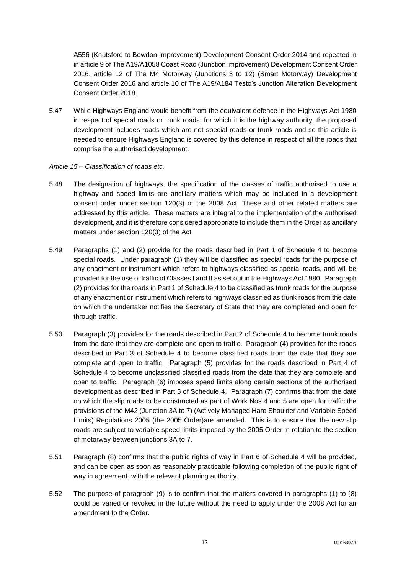A556 (Knutsford to Bowdon Improvement) Development Consent Order 2014 and repeated in in article 9 of The A19/A1058 Coast Road (Junction Improvement) Development Consent Order 2016, article 12 of The M4 Motorway (Junctions 3 to 12) (Smart Motorway) Development Consent Order 2016 and article 10 of The A19/A184 Testo's Junction Alteration Development Consent Order 2018.

- 5.47 While Highways England would benefit from the equivalent defence in the Highways Act 1980 in respect of special roads or trunk roads, for which it is the highway authority, the proposed development includes roads which are not special roads or trunk roads and so this article is needed to ensure Highways England is covered by this defence in respect of all the roads that comprise the authorised development.
- *Article 15 – Classification of roads etc.*
- 5.48 The designation of highways, the specification of the classes of traffic authorised to use a highway and speed limits are ancillary matters which may be included in a development consent order under section 120(3) of the 2008 Act. These and other related matters are addressed by this article. These matters are integral to the implementation of the authorised development, and it is therefore considered appropriate to include them in the Order as ancillary matters under section 120(3) of the Act.
- 5.49 Paragraphs (1) and (2) provide for the roads described in Part 1 of Schedule 4 to become special roads. Under paragraph (1) they will be classified as special roads for the purpose of any enactment or instrument which refers to highways classified as special roads, and will be provided for the use of traffic of Classes I and II as set out in the Highways Act 1980. Paragraph (2) provides for the roads in Part 1 of Schedule 4 to be classified as trunk roads for the purpose of any enactment or instrument which refers to highways classified as trunk roads from the date on which the undertaker notifies the Secretary of State that they are completed and open for through traffic.
- 5.50 Paragraph (3) provides for the roads described in Part 2 of Schedule 4 to become trunk roads from the date that they are complete and open to traffic. Paragraph (4) provides for the roads described in Part 3 of Schedule 4 to become classified roads from the date that they are complete and open to traffic. Paragraph (5) provides for the roads described in Part 4 of Schedule 4 to become unclassified classified roads from the date that they are complete and open to traffic. Paragraph (6) imposes speed limits along certain sections of the authorised development as described in Part 5 of Schedule 4. Paragraph (7) confirms that from the date on which the slip roads to be constructed as part of Work Nos 4 and 5 are open for traffic the provisions of the M42 (Junction 3A to 7) (Actively Managed Hard Shoulder and Variable Speed Limits) Regulations 2005 (the 2005 Order)are amended. This is to ensure that the new slip roads are subject to variable speed limits imposed by the 2005 Order in relation to the section of motorway between junctions 3A to 7.
- 5.51 Paragraph (8) confirms that the public rights of way in Part 6 of Schedule 4 will be provided, and can be open as soon as reasonably practicable following completion of the public right of way in agreement with the relevant planning authority.
- 5.52 The purpose of paragraph (9) is to confirm that the matters covered in paragraphs (1) to (8) could be varied or revoked in the future without the need to apply under the 2008 Act for an amendment to the Order.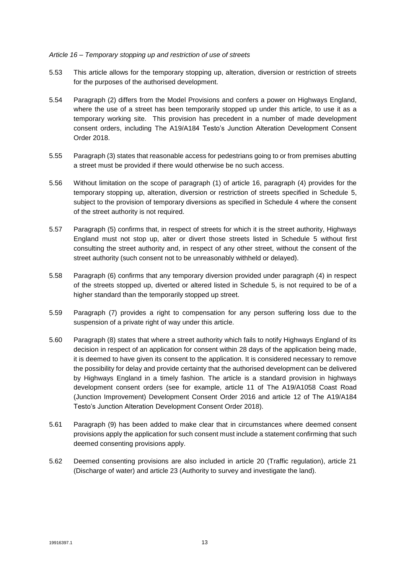#### *Article 16 – Temporary stopping up and restriction of use of streets*

- 5.53 This article allows for the temporary stopping up, alteration, diversion or restriction of streets for the purposes of the authorised development.
- 5.54 Paragraph (2) differs from the Model Provisions and confers a power on Highways England, where the use of a street has been temporarily stopped up under this article, to use it as a temporary working site. This provision has precedent in a number of made development consent orders, including The A19/A184 Testo's Junction Alteration Development Consent Order 2018.
- 5.55 Paragraph (3) states that reasonable access for pedestrians going to or from premises abutting a street must be provided if there would otherwise be no such access.
- 5.56 Without limitation on the scope of paragraph (1) of article 16, paragraph (4) provides for the temporary stopping up, alteration, diversion or restriction of streets specified in Schedule 5, subject to the provision of temporary diversions as specified in Schedule 4 where the consent of the street authority is not required.
- 5.57 Paragraph (5) confirms that, in respect of streets for which it is the street authority, Highways England must not stop up, alter or divert those streets listed in Schedule 5 without first consulting the street authority and, in respect of any other street, without the consent of the street authority (such consent not to be unreasonably withheld or delayed).
- 5.58 Paragraph (6) confirms that any temporary diversion provided under paragraph (4) in respect of the streets stopped up, diverted or altered listed in Schedule 5, is not required to be of a higher standard than the temporarily stopped up street.
- 5.59 Paragraph (7) provides a right to compensation for any person suffering loss due to the suspension of a private right of way under this article.
- 5.60 Paragraph (8) states that where a street authority which fails to notify Highways England of its decision in respect of an application for consent within 28 days of the application being made, it is deemed to have given its consent to the application. It is considered necessary to remove the possibility for delay and provide certainty that the authorised development can be delivered by Highways England in a timely fashion. The article is a standard provision in highways development consent orders (see for example, article 11 of The A19/A1058 Coast Road (Junction Improvement) Development Consent Order 2016 and article 12 of The A19/A184 Testo's Junction Alteration Development Consent Order 2018).
- 5.61 Paragraph (9) has been added to make clear that in circumstances where deemed consent provisions apply the application for such consent must include a statement confirming that such deemed consenting provisions apply.
- 5.62 Deemed consenting provisions are also included in article 20 (Traffic regulation), article 21 (Discharge of water) and article 23 (Authority to survey and investigate the land).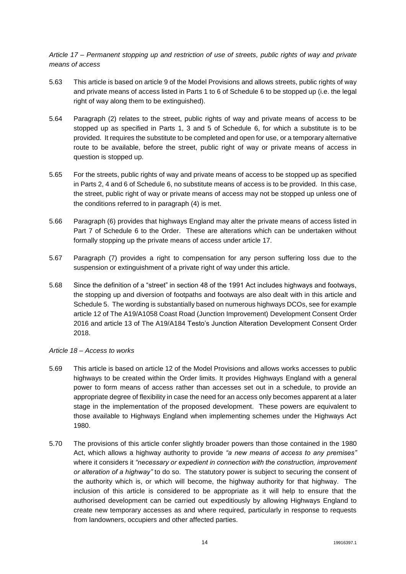*Article 17 – Permanent stopping up and restriction of use of streets, public rights of way and private means of access*

- 5.63 This article is based on article 9 of the Model Provisions and allows streets, public rights of way and private means of access listed in Parts 1 to 6 of Schedule 6 to be stopped up (i.e. the legal right of way along them to be extinguished).
- 5.64 Paragraph (2) relates to the street, public rights of way and private means of access to be stopped up as specified in Parts 1, 3 and 5 of Schedule 6, for which a substitute is to be provided. It requires the substitute to be completed and open for use, or a temporary alternative route to be available, before the street, public right of way or private means of access in question is stopped up.
- 5.65 For the streets, public rights of way and private means of access to be stopped up as specified in Parts 2, 4 and 6 of Schedule 6, no substitute means of access is to be provided. In this case, the street, public right of way or private means of access may not be stopped up unless one of the conditions referred to in paragraph (4) is met.
- 5.66 Paragraph (6) provides that highways England may alter the private means of access listed in Part 7 of Schedule 6 to the Order. These are alterations which can be undertaken without formally stopping up the private means of access under article 17.
- 5.67 Paragraph (7) provides a right to compensation for any person suffering loss due to the suspension or extinguishment of a private right of way under this article.
- 5.68 Since the definition of a "street" in section 48 of the 1991 Act includes highways and footways, the stopping up and diversion of footpaths and footways are also dealt with in this article and Schedule 5. The wording is substantially based on numerous highways DCOs, see for example article 12 of The A19/A1058 Coast Road (Junction Improvement) Development Consent Order 2016 and article 13 of The A19/A184 Testo's Junction Alteration Development Consent Order 2018.
- *Article 18 – Access to works*
- 5.69 This article is based on article 12 of the Model Provisions and allows works accesses to public highways to be created within the Order limits. It provides Highways England with a general power to form means of access rather than accesses set out in a schedule, to provide an appropriate degree of flexibility in case the need for an access only becomes apparent at a later stage in the implementation of the proposed development. These powers are equivalent to those available to Highways England when implementing schemes under the Highways Act 1980.
- 5.70 The provisions of this article confer slightly broader powers than those contained in the 1980 Act, which allows a highway authority to provide *"a new means of access to any premises"* where it considers it *"necessary or expedient in connection with the construction, improvement or alteration of a highway"* to do so. The statutory power is subject to securing the consent of the authority which is, or which will become, the highway authority for that highway. The inclusion of this article is considered to be appropriate as it will help to ensure that the authorised development can be carried out expeditiously by allowing Highways England to create new temporary accesses as and where required, particularly in response to requests from landowners, occupiers and other affected parties.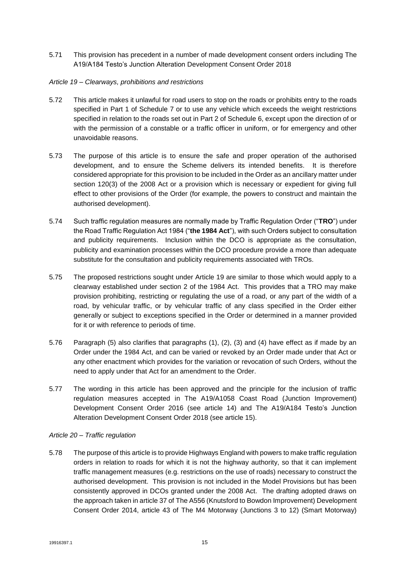5.71 This provision has precedent in a number of made development consent orders including The A19/A184 Testo's Junction Alteration Development Consent Order 2018

#### *Article 19 – Clearways, prohibitions and restrictions*

- 5.72 This article makes it unlawful for road users to stop on the roads or prohibits entry to the roads specified in Part 1 of Schedule 7 or to use any vehicle which exceeds the weight restrictions specified in relation to the roads set out in Part 2 of Schedule 6, except upon the direction of or with the permission of a constable or a traffic officer in uniform, or for emergency and other unavoidable reasons.
- 5.73 The purpose of this article is to ensure the safe and proper operation of the authorised development, and to ensure the Scheme delivers its intended benefits. It is therefore considered appropriate for this provision to be included in the Order as an ancillary matter under section 120(3) of the 2008 Act or a provision which is necessary or expedient for giving full effect to other provisions of the Order (for example, the powers to construct and maintain the authorised development).
- 5.74 Such traffic regulation measures are normally made by Traffic Regulation Order ("**TRO**") under the Road Traffic Regulation Act 1984 ("**the 1984 Act**"), with such Orders subject to consultation and publicity requirements. Inclusion within the DCO is appropriate as the consultation, publicity and examination processes within the DCO procedure provide a more than adequate substitute for the consultation and publicity requirements associated with TROs.
- 5.75 The proposed restrictions sought under Article 19 are similar to those which would apply to a clearway established under section 2 of the 1984 Act. This provides that a TRO may make provision prohibiting, restricting or regulating the use of a road, or any part of the width of a road, by vehicular traffic, or by vehicular traffic of any class specified in the Order either generally or subject to exceptions specified in the Order or determined in a manner provided for it or with reference to periods of time.
- 5.76 Paragraph (5) also clarifies that paragraphs (1), (2), (3) and (4) have effect as if made by an Order under the 1984 Act, and can be varied or revoked by an Order made under that Act or any other enactment which provides for the variation or revocation of such Orders, without the need to apply under that Act for an amendment to the Order.
- 5.77 The wording in this article has been approved and the principle for the inclusion of traffic regulation measures accepted in The A19/A1058 Coast Road (Junction Improvement) Development Consent Order 2016 (see article 14) and The A19/A184 Testo's Junction Alteration Development Consent Order 2018 (see article 15).

#### *Article 20 – Traffic regulation*

5.78 The purpose of this article is to provide Highways England with powers to make traffic regulation orders in relation to roads for which it is not the highway authority, so that it can implement traffic management measures (e.g. restrictions on the use of roads) necessary to construct the authorised development. This provision is not included in the Model Provisions but has been consistently approved in DCOs granted under the 2008 Act. The drafting adopted draws on the approach taken in article 37 of The A556 (Knutsford to Bowdon Improvement) Development Consent Order 2014, article 43 of The M4 Motorway (Junctions 3 to 12) (Smart Motorway)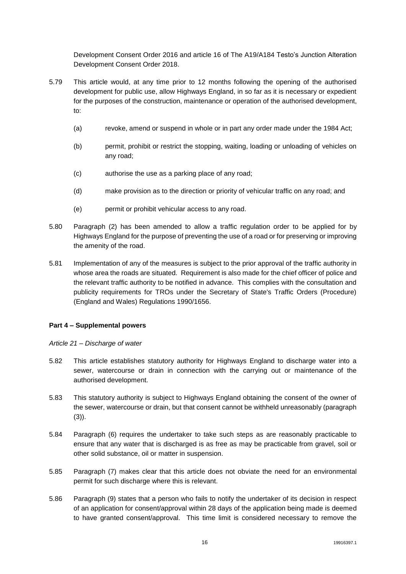Development Consent Order 2016 and article 16 of The A19/A184 Testo's Junction Alteration Development Consent Order 2018.

- 5.79 This article would, at any time prior to 12 months following the opening of the authorised development for public use, allow Highways England, in so far as it is necessary or expedient for the purposes of the construction, maintenance or operation of the authorised development, to:
	- (a) revoke, amend or suspend in whole or in part any order made under the 1984 Act;
	- (b) permit, prohibit or restrict the stopping, waiting, loading or unloading of vehicles on any road;
	- (c) authorise the use as a parking place of any road;
	- (d) make provision as to the direction or priority of vehicular traffic on any road; and
	- (e) permit or prohibit vehicular access to any road.
- 5.80 Paragraph (2) has been amended to allow a traffic regulation order to be applied for by Highways England for the purpose of preventing the use of a road or for preserving or improving the amenity of the road.
- 5.81 Implementation of any of the measures is subject to the prior approval of the traffic authority in whose area the roads are situated. Requirement is also made for the chief officer of police and the relevant traffic authority to be notified in advance. This complies with the consultation and publicity requirements for TROs under the Secretary of State's Traffic Orders (Procedure) (England and Wales) Regulations 1990/1656.

#### **Part 4 – Supplemental powers**

#### *Article 21 – Discharge of water*

- 5.82 This article establishes statutory authority for Highways England to discharge water into a sewer, watercourse or drain in connection with the carrying out or maintenance of the authorised development.
- 5.83 This statutory authority is subject to Highways England obtaining the consent of the owner of the sewer, watercourse or drain, but that consent cannot be withheld unreasonably (paragraph (3)).
- 5.84 Paragraph (6) requires the undertaker to take such steps as are reasonably practicable to ensure that any water that is discharged is as free as may be practicable from gravel, soil or other solid substance, oil or matter in suspension.
- 5.85 Paragraph (7) makes clear that this article does not obviate the need for an environmental permit for such discharge where this is relevant.
- 5.86 Paragraph (9) states that a person who fails to notify the undertaker of its decision in respect of an application for consent/approval within 28 days of the application being made is deemed to have granted consent/approval. This time limit is considered necessary to remove the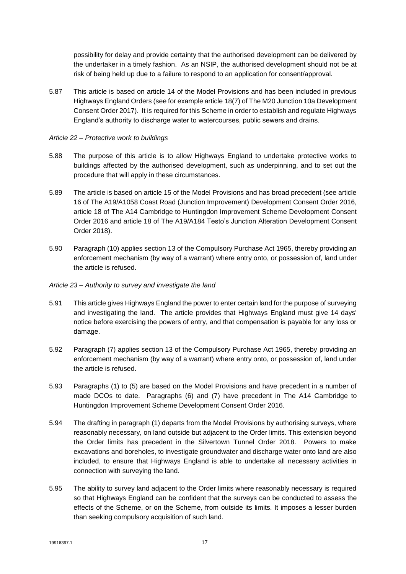possibility for delay and provide certainty that the authorised development can be delivered by the undertaker in a timely fashion. As an NSIP, the authorised development should not be at risk of being held up due to a failure to respond to an application for consent/approval.

5.87 This article is based on article 14 of the Model Provisions and has been included in previous Highways England Orders (see for example article 18(7) of The M20 Junction 10a Development Consent Order 2017). It is required for this Scheme in order to establish and regulate Highways England's authority to discharge water to watercourses, public sewers and drains.

#### *Article 22 – Protective work to buildings*

- 5.88 The purpose of this article is to allow Highways England to undertake protective works to buildings affected by the authorised development, such as underpinning, and to set out the procedure that will apply in these circumstances.
- 5.89 The article is based on article 15 of the Model Provisions and has broad precedent (see article 16 of The A19/A1058 Coast Road (Junction Improvement) Development Consent Order 2016, article 18 of The A14 Cambridge to Huntingdon Improvement Scheme Development Consent Order 2016 and article 18 of The A19/A184 Testo's Junction Alteration Development Consent Order 2018).
- 5.90 Paragraph (10) applies section 13 of the Compulsory Purchase Act 1965, thereby providing an enforcement mechanism (by way of a warrant) where entry onto, or possession of, land under the article is refused.

#### *Article 23 – Authority to survey and investigate the land*

- 5.91 This article gives Highways England the power to enter certain land for the purpose of surveying and investigating the land. The article provides that Highways England must give 14 days' notice before exercising the powers of entry, and that compensation is payable for any loss or damage.
- 5.92 Paragraph (7) applies section 13 of the Compulsory Purchase Act 1965, thereby providing an enforcement mechanism (by way of a warrant) where entry onto, or possession of, land under the article is refused.
- 5.93 Paragraphs (1) to (5) are based on the Model Provisions and have precedent in a number of made DCOs to date. Paragraphs (6) and (7) have precedent in The A14 Cambridge to Huntingdon Improvement Scheme Development Consent Order 2016.
- 5.94 The drafting in paragraph (1) departs from the Model Provisions by authorising surveys, where reasonably necessary, on land outside but adjacent to the Order limits. This extension beyond the Order limits has precedent in the Silvertown Tunnel Order 2018. Powers to make excavations and boreholes, to investigate groundwater and discharge water onto land are also included, to ensure that Highways England is able to undertake all necessary activities in connection with surveying the land.
- 5.95 The ability to survey land adjacent to the Order limits where reasonably necessary is required so that Highways England can be confident that the surveys can be conducted to assess the effects of the Scheme, or on the Scheme, from outside its limits. It imposes a lesser burden than seeking compulsory acquisition of such land.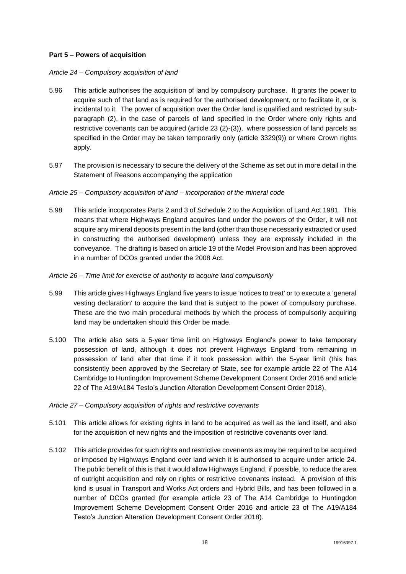### **Part 5 – Powers of acquisition**

#### *Article 24 – Compulsory acquisition of land*

- 5.96 This article authorises the acquisition of land by compulsory purchase. It grants the power to acquire such of that land as is required for the authorised development, or to facilitate it, or is incidental to it. The power of acquisition over the Order land is qualified and restricted by subparagraph (2), in the case of parcels of land specified in the Order where only rights and restrictive covenants can be acquired (article 23 (2)-(3)), where possession of land parcels as specified in the Order may be taken temporarily only (article 3329(9)) or where Crown rights apply.
- 5.97 The provision is necessary to secure the delivery of the Scheme as set out in more detail in the Statement of Reasons accompanying the application

#### *Article 25 – Compulsory acquisition of land – incorporation of the mineral code*

5.98 This article incorporates Parts 2 and 3 of Schedule 2 to the Acquisition of Land Act 1981. This means that where Highways England acquires land under the powers of the Order, it will not acquire any mineral deposits present in the land (other than those necessarily extracted or used in constructing the authorised development) unless they are expressly included in the conveyance. The drafting is based on article 19 of the Model Provision and has been approved in a number of DCOs granted under the 2008 Act.

#### *Article 26 – Time limit for exercise of authority to acquire land compulsorily*

- 5.99 This article gives Highways England five years to issue 'notices to treat' or to execute a 'general vesting declaration' to acquire the land that is subject to the power of compulsory purchase. These are the two main procedural methods by which the process of compulsorily acquiring land may be undertaken should this Order be made.
- 5.100 The article also sets a 5-year time limit on Highways England's power to take temporary possession of land, although it does not prevent Highways England from remaining in possession of land after that time if it took possession within the 5-year limit (this has consistently been approved by the Secretary of State, see for example article 22 of The A14 Cambridge to Huntingdon Improvement Scheme Development Consent Order 2016 and article 22 of The A19/A184 Testo's Junction Alteration Development Consent Order 2018).

#### *Article 27 – Compulsory acquisition of rights and restrictive covenants*

- 5.101 This article allows for existing rights in land to be acquired as well as the land itself, and also for the acquisition of new rights and the imposition of restrictive covenants over land.
- 5.102 This article provides for such rights and restrictive covenants as may be required to be acquired or imposed by Highways England over land which it is authorised to acquire under article 24. The public benefit of this is that it would allow Highways England, if possible, to reduce the area of outright acquisition and rely on rights or restrictive covenants instead. A provision of this kind is usual in Transport and Works Act orders and Hybrid Bills, and has been followed in a number of DCOs granted (for example article 23 of The A14 Cambridge to Huntingdon Improvement Scheme Development Consent Order 2016 and article 23 of The A19/A184 Testo's Junction Alteration Development Consent Order 2018).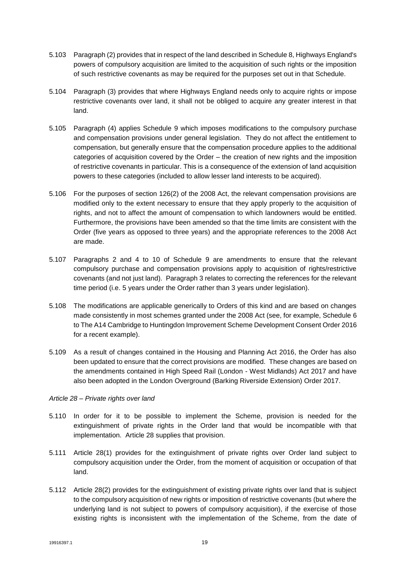- 5.103 Paragraph (2) provides that in respect of the land described in Schedule 8, Highways England's powers of compulsory acquisition are limited to the acquisition of such rights or the imposition of such restrictive covenants as may be required for the purposes set out in that Schedule.
- 5.104 Paragraph (3) provides that where Highways England needs only to acquire rights or impose restrictive covenants over land, it shall not be obliged to acquire any greater interest in that land.
- 5.105 Paragraph (4) applies Schedule 9 which imposes modifications to the compulsory purchase and compensation provisions under general legislation. They do not affect the entitlement to compensation, but generally ensure that the compensation procedure applies to the additional categories of acquisition covered by the Order – the creation of new rights and the imposition of restrictive covenants in particular. This is a consequence of the extension of land acquisition powers to these categories (included to allow lesser land interests to be acquired).
- 5.106 For the purposes of section 126(2) of the 2008 Act, the relevant compensation provisions are modified only to the extent necessary to ensure that they apply properly to the acquisition of rights, and not to affect the amount of compensation to which landowners would be entitled. Furthermore, the provisions have been amended so that the time limits are consistent with the Order (five years as opposed to three years) and the appropriate references to the 2008 Act are made.
- 5.107 Paragraphs 2 and 4 to 10 of Schedule 9 are amendments to ensure that the relevant compulsory purchase and compensation provisions apply to acquisition of rights/restrictive covenants (and not just land). Paragraph 3 relates to correcting the references for the relevant time period (i.e. 5 years under the Order rather than 3 years under legislation).
- 5.108 The modifications are applicable generically to Orders of this kind and are based on changes made consistently in most schemes granted under the 2008 Act (see, for example, Schedule 6 to The A14 Cambridge to Huntingdon Improvement Scheme Development Consent Order 2016 for a recent example).
- 5.109 As a result of changes contained in the Housing and Planning Act 2016, the Order has also been updated to ensure that the correct provisions are modified. These changes are based on the amendments contained in High Speed Rail (London - West Midlands) Act 2017 and have also been adopted in the London Overground (Barking Riverside Extension) Order 2017.

#### *Article 28 – Private rights over land*

- 5.110 In order for it to be possible to implement the Scheme, provision is needed for the extinguishment of private rights in the Order land that would be incompatible with that implementation. Article 28 supplies that provision.
- 5.111 Article 28(1) provides for the extinguishment of private rights over Order land subject to compulsory acquisition under the Order, from the moment of acquisition or occupation of that land.
- 5.112 Article 28(2) provides for the extinguishment of existing private rights over land that is subject to the compulsory acquisition of new rights or imposition of restrictive covenants (but where the underlying land is not subject to powers of compulsory acquisition), if the exercise of those existing rights is inconsistent with the implementation of the Scheme, from the date of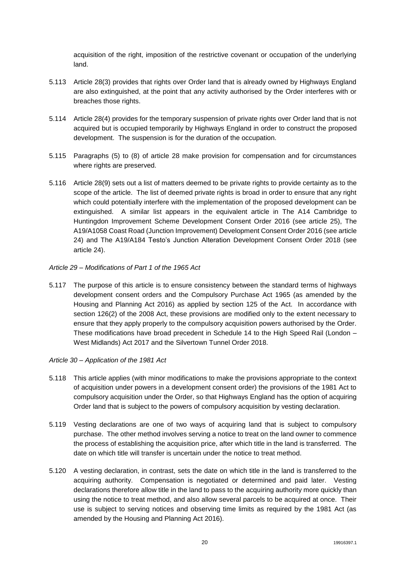acquisition of the right, imposition of the restrictive covenant or occupation of the underlying land.

- 5.113 Article 28(3) provides that rights over Order land that is already owned by Highways England are also extinguished, at the point that any activity authorised by the Order interferes with or breaches those rights.
- 5.114 Article 28(4) provides for the temporary suspension of private rights over Order land that is not acquired but is occupied temporarily by Highways England in order to construct the proposed development. The suspension is for the duration of the occupation.
- 5.115 Paragraphs (5) to (8) of article 28 make provision for compensation and for circumstances where rights are preserved.
- 5.116 Article 28(9) sets out a list of matters deemed to be private rights to provide certainty as to the scope of the article. The list of deemed private rights is broad in order to ensure that any right which could potentially interfere with the implementation of the proposed development can be extinguished. A similar list appears in the equivalent article in The A14 Cambridge to Huntingdon Improvement Scheme Development Consent Order 2016 (see article 25), The A19/A1058 Coast Road (Junction Improvement) Development Consent Order 2016 (see article 24) and The A19/A184 Testo's Junction Alteration Development Consent Order 2018 (see article 24).
- *Article 29 – Modifications of Part 1 of the 1965 Act*
- 5.117 The purpose of this article is to ensure consistency between the standard terms of highways development consent orders and the Compulsory Purchase Act 1965 (as amended by the Housing and Planning Act 2016) as applied by section 125 of the Act. In accordance with section 126(2) of the 2008 Act, these provisions are modified only to the extent necessary to ensure that they apply properly to the compulsory acquisition powers authorised by the Order. These modifications have broad precedent in Schedule 14 to the High Speed Rail (London – West Midlands) Act 2017 and the Silvertown Tunnel Order 2018.

#### *Article 30 – Application of the 1981 Act*

- 5.118 This article applies (with minor modifications to make the provisions appropriate to the context of acquisition under powers in a development consent order) the provisions of the 1981 Act to compulsory acquisition under the Order, so that Highways England has the option of acquiring Order land that is subject to the powers of compulsory acquisition by vesting declaration.
- 5.119 Vesting declarations are one of two ways of acquiring land that is subject to compulsory purchase. The other method involves serving a notice to treat on the land owner to commence the process of establishing the acquisition price, after which title in the land is transferred. The date on which title will transfer is uncertain under the notice to treat method.
- 5.120 A vesting declaration, in contrast, sets the date on which title in the land is transferred to the acquiring authority. Compensation is negotiated or determined and paid later. Vesting declarations therefore allow title in the land to pass to the acquiring authority more quickly than using the notice to treat method, and also allow several parcels to be acquired at once. Their use is subject to serving notices and observing time limits as required by the 1981 Act (as amended by the Housing and Planning Act 2016).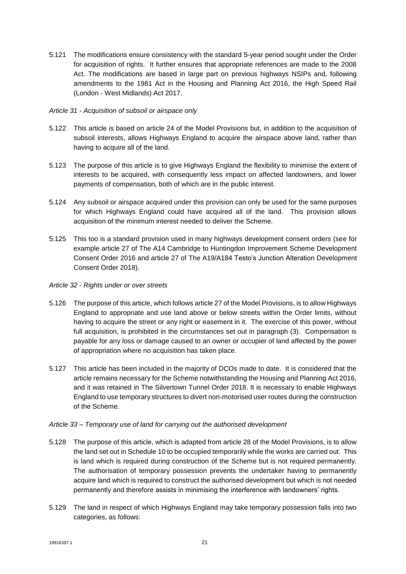5.121 The modifications ensure consistency with the standard 5-year period sought under the Order for acquisition of rights. It further ensures that appropriate references are made to the 2008 Act. The modifications are based in large part on previous highways NSIPs and, following amendments to the 1981 Act in the Housing and Planning Act 2016, the High Speed Rail (London - West Midlands) Act 2017.

#### *Article 31 - Acquisition of subsoil or airspace only*

- 5.122 This article is based on article 24 of the Model Provisions but, in addition to the acquisition of subsoil interests, allows Highways England to acquire the airspace above land, rather than having to acquire all of the land.
- 5.123 The purpose of this article is to give Highways England the flexibility to minimise the extent of interests to be acquired, with consequently less impact on affected landowners, and lower payments of compensation, both of which are in the public interest.
- 5.124 Any subsoil or airspace acquired under this provision can only be used for the same purposes for which Highways England could have acquired all of the land. This provision allows acquisition of the minimum interest needed to deliver the Scheme.
- 5.125 This too is a standard provision used in many highways development consent orders (see for example article 27 of The A14 Cambridge to Huntingdon Improvement Scheme Development Consent Order 2016 and article 27 of The A19/A184 Testo's Junction Alteration Development Consent Order 2018).

#### *Article 32 - Rights under or over streets*

- 5.126 The purpose of this article, which follows article 27 of the Model Provisions, is to allow Highways England to appropriate and use land above or below streets within the Order limits, without having to acquire the street or any right or easement in it. The exercise of this power, without full acquisition, is prohibited in the circumstances set out in paragraph (3). Compensation is payable for any loss or damage caused to an owner or occupier of land affected by the power of appropriation where no acquisition has taken place.
- 5.127 This article has been included in the majority of DCOs made to date. It is considered that the article remains necessary for the Scheme notwithstanding the Housing and Planning Act 2016, and it was retained in The Silvertown Tunnel Order 2018. It is necessary to enable Highways England to use temporary structures to divert non-motorised user routes during the construction of the Scheme.

#### *Article 33 – Temporary use of land for carrying out the authorised development*

- 5.128 The purpose of this article, which is adapted from article 28 of the Model Provisions, is to allow the land set out in Schedule 10 to be occupied temporarily while the works are carried out. This is land which is required during construction of the Scheme but is not required permanently. The authorisation of temporary possession prevents the undertaker having to permanently acquire land which is required to construct the authorised development but which is not needed permanently and therefore assists in minimising the interference with landowners' rights.
- 5.129 The land in respect of which Highways England may take temporary possession falls into two categories, as follows: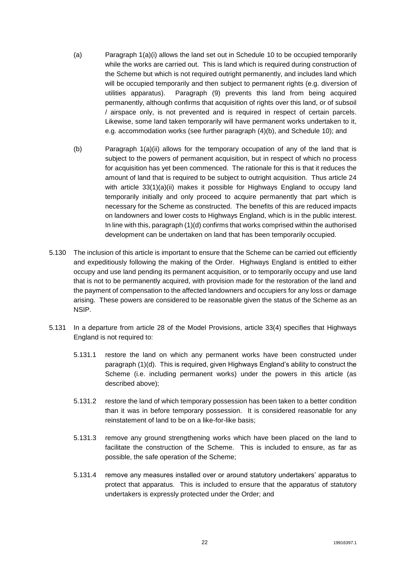- (a) Paragraph 1(a)(i) allows the land set out in Schedule 10 to be occupied temporarily while the works are carried out. This is land which is required during construction of the Scheme but which is not required outright permanently, and includes land which will be occupied temporarily and then subject to permanent rights (e.g. diversion of utilities apparatus). Paragraph (9) prevents this land from being acquired permanently, although confirms that acquisition of rights over this land, or of subsoil / airspace only, is not prevented and is required in respect of certain parcels. Likewise, some land taken temporarily will have permanent works undertaken to it, e.g. accommodation works (see further paragraph (4)(b), and Schedule 10); and
- (b) Paragraph 1(a)(ii) allows for the temporary occupation of any of the land that is subject to the powers of permanent acquisition, but in respect of which no process for acquisition has yet been commenced. The rationale for this is that it reduces the amount of land that is required to be subject to outright acquisition. Thus article 24 with article  $33(1)(a)(ii)$  makes it possible for Highways England to occupy land temporarily initially and only proceed to acquire permanently that part which is necessary for the Scheme as constructed. The benefits of this are reduced impacts on landowners and lower costs to Highways England, which is in the public interest. In line with this, paragraph (1)(d) confirms that works comprised within the authorised development can be undertaken on land that has been temporarily occupied.
- 5.130 The inclusion of this article is important to ensure that the Scheme can be carried out efficiently and expeditiously following the making of the Order. Highways England is entitled to either occupy and use land pending its permanent acquisition, or to temporarily occupy and use land that is not to be permanently acquired, with provision made for the restoration of the land and the payment of compensation to the affected landowners and occupiers for any loss or damage arising. These powers are considered to be reasonable given the status of the Scheme as an NSIP.
- 5.131 In a departure from article 28 of the Model Provisions, article 33(4) specifies that Highways England is not required to:
	- 5.131.1 restore the land on which any permanent works have been constructed under paragraph (1)(d). This is required, given Highways England's ability to construct the Scheme (i.e. including permanent works) under the powers in this article (as described above);
	- 5.131.2 restore the land of which temporary possession has been taken to a better condition than it was in before temporary possession. It is considered reasonable for any reinstatement of land to be on a like-for-like basis;
	- 5.131.3 remove any ground strengthening works which have been placed on the land to facilitate the construction of the Scheme. This is included to ensure, as far as possible, the safe operation of the Scheme;
	- 5.131.4 remove any measures installed over or around statutory undertakers' apparatus to protect that apparatus. This is included to ensure that the apparatus of statutory undertakers is expressly protected under the Order; and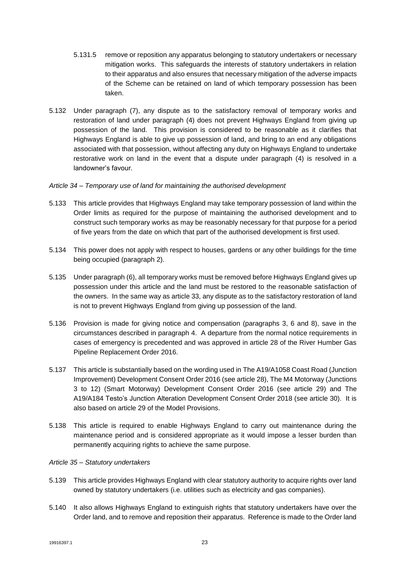- 5.131.5 remove or reposition any apparatus belonging to statutory undertakers or necessary mitigation works. This safeguards the interests of statutory undertakers in relation to their apparatus and also ensures that necessary mitigation of the adverse impacts of the Scheme can be retained on land of which temporary possession has been taken.
- 5.132 Under paragraph (7), any dispute as to the satisfactory removal of temporary works and restoration of land under paragraph (4) does not prevent Highways England from giving up possession of the land. This provision is considered to be reasonable as it clarifies that Highways England is able to give up possession of land, and bring to an end any obligations associated with that possession, without affecting any duty on Highways England to undertake restorative work on land in the event that a dispute under paragraph (4) is resolved in a landowner's favour.

#### *Article 34 – Temporary use of land for maintaining the authorised development*

- 5.133 This article provides that Highways England may take temporary possession of land within the Order limits as required for the purpose of maintaining the authorised development and to construct such temporary works as may be reasonably necessary for that purpose for a period of five years from the date on which that part of the authorised development is first used.
- 5.134 This power does not apply with respect to houses, gardens or any other buildings for the time being occupied (paragraph 2).
- 5.135 Under paragraph (6), all temporary works must be removed before Highways England gives up possession under this article and the land must be restored to the reasonable satisfaction of the owners. In the same way as article 33, any dispute as to the satisfactory restoration of land is not to prevent Highways England from giving up possession of the land.
- 5.136 Provision is made for giving notice and compensation (paragraphs 3, 6 and 8), save in the circumstances described in paragraph 4. A departure from the normal notice requirements in cases of emergency is precedented and was approved in article 28 of the River Humber Gas Pipeline Replacement Order 2016.
- 5.137 This article is substantially based on the wording used in The A19/A1058 Coast Road (Junction Improvement) Development Consent Order 2016 (see article 28), The M4 Motorway (Junctions 3 to 12) (Smart Motorway) Development Consent Order 2016 (see article 29) and The A19/A184 Testo's Junction Alteration Development Consent Order 2018 (see article 30). It is also based on article 29 of the Model Provisions.
- 5.138 This article is required to enable Highways England to carry out maintenance during the maintenance period and is considered appropriate as it would impose a lesser burden than permanently acquiring rights to achieve the same purpose.

#### *Article 35 – Statutory undertakers*

- 5.139 This article provides Highways England with clear statutory authority to acquire rights over land owned by statutory undertakers (i.e. utilities such as electricity and gas companies).
- 5.140 It also allows Highways England to extinguish rights that statutory undertakers have over the Order land, and to remove and reposition their apparatus. Reference is made to the Order land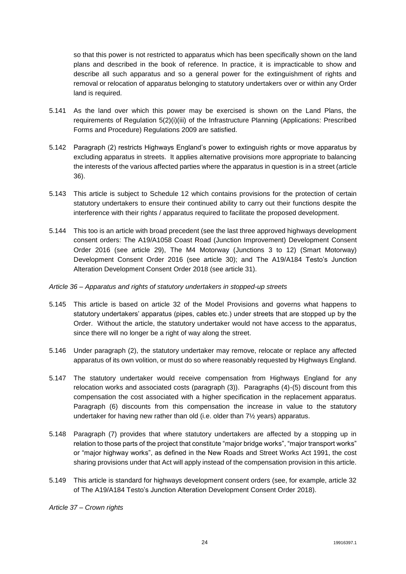so that this power is not restricted to apparatus which has been specifically shown on the land plans and described in the book of reference. In practice, it is impracticable to show and describe all such apparatus and so a general power for the extinguishment of rights and removal or relocation of apparatus belonging to statutory undertakers over or within any Order land is required.

- 5.141 As the land over which this power may be exercised is shown on the Land Plans, the requirements of Regulation 5(2)(i)(iii) of the Infrastructure Planning (Applications: Prescribed Forms and Procedure) Regulations 2009 are satisfied.
- 5.142 Paragraph (2) restricts Highways England's power to extinguish rights or move apparatus by excluding apparatus in streets. It applies alternative provisions more appropriate to balancing the interests of the various affected parties where the apparatus in question is in a street (article 36).
- 5.143 This article is subject to Schedule 12 which contains provisions for the protection of certain statutory undertakers to ensure their continued ability to carry out their functions despite the interference with their rights / apparatus required to facilitate the proposed development.
- 5.144 This too is an article with broad precedent (see the last three approved highways development consent orders: The A19/A1058 Coast Road (Junction Improvement) Development Consent Order 2016 (see article 29), The M4 Motorway (Junctions 3 to 12) (Smart Motorway) Development Consent Order 2016 (see article 30); and The A19/A184 Testo's Junction Alteration Development Consent Order 2018 (see article 31).

#### *Article 36 – Apparatus and rights of statutory undertakers in stopped-up streets*

- 5.145 This article is based on article 32 of the Model Provisions and governs what happens to statutory undertakers' apparatus (pipes, cables etc.) under streets that are stopped up by the Order. Without the article, the statutory undertaker would not have access to the apparatus, since there will no longer be a right of way along the street.
- 5.146 Under paragraph (2), the statutory undertaker may remove, relocate or replace any affected apparatus of its own volition, or must do so where reasonably requested by Highways England.
- 5.147 The statutory undertaker would receive compensation from Highways England for any relocation works and associated costs (paragraph (3)). Paragraphs (4)-(5) discount from this compensation the cost associated with a higher specification in the replacement apparatus. Paragraph (6) discounts from this compensation the increase in value to the statutory undertaker for having new rather than old (i.e. older than 7½ years) apparatus.
- 5.148 Paragraph (7) provides that where statutory undertakers are affected by a stopping up in relation to those parts of the project that constitute "major bridge works", "major transport works" or "major highway works", as defined in the New Roads and Street Works Act 1991, the cost sharing provisions under that Act will apply instead of the compensation provision in this article.
- 5.149 This article is standard for highways development consent orders (see, for example, article 32 of The A19/A184 Testo's Junction Alteration Development Consent Order 2018).

*Article 37 – Crown rights*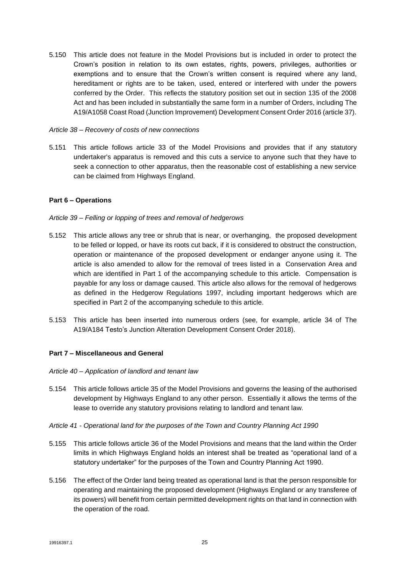5.150 This article does not feature in the Model Provisions but is included in order to protect the Crown's position in relation to its own estates, rights, powers, privileges, authorities or exemptions and to ensure that the Crown's written consent is required where any land, hereditament or rights are to be taken, used, entered or interfered with under the powers conferred by the Order. This reflects the statutory position set out in section 135 of the 2008 Act and has been included in substantially the same form in a number of Orders, including The A19/A1058 Coast Road (Junction Improvement) Development Consent Order 2016 (article 37).

#### *Article 38 – Recovery of costs of new connections*

5.151 This article follows article 33 of the Model Provisions and provides that if any statutory undertaker's apparatus is removed and this cuts a service to anyone such that they have to seek a connection to other apparatus, then the reasonable cost of establishing a new service can be claimed from Highways England.

#### **Part 6 – Operations**

#### *Article 39 – Felling or lopping of trees and removal of hedgerows*

- 5.152 This article allows any tree or shrub that is near, or overhanging, the proposed development to be felled or lopped, or have its roots cut back, if it is considered to obstruct the construction, operation or maintenance of the proposed development or endanger anyone using it. The article is also amended to allow for the removal of trees listed in a Conservation Area and which are identified in Part 1 of the accompanying schedule to this article. Compensation is payable for any loss or damage caused. This article also allows for the removal of hedgerows as defined in the Hedgerow Regulations 1997, including important hedgerows which are specified in Part 2 of the accompanying schedule to this article.
- 5.153 This article has been inserted into numerous orders (see, for example, article 34 of The A19/A184 Testo's Junction Alteration Development Consent Order 2018).

#### **Part 7 – Miscellaneous and General**

- *Article 40 – Application of landlord and tenant law*
- 5.154 This article follows article 35 of the Model Provisions and governs the leasing of the authorised development by Highways England to any other person. Essentially it allows the terms of the lease to override any statutory provisions relating to landlord and tenant law.
- *Article 41 - Operational land for the purposes of the Town and Country Planning Act 1990*
- 5.155 This article follows article 36 of the Model Provisions and means that the land within the Order limits in which Highways England holds an interest shall be treated as "operational land of a statutory undertaker" for the purposes of the Town and Country Planning Act 1990.
- 5.156 The effect of the Order land being treated as operational land is that the person responsible for operating and maintaining the proposed development (Highways England or any transferee of its powers) will benefit from certain permitted development rights on that land in connection with the operation of the road.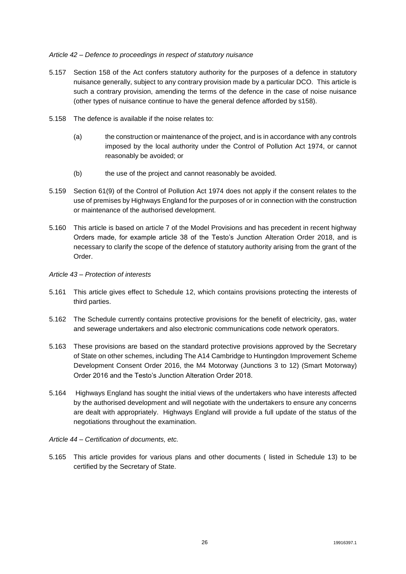#### *Article 42 – Defence to proceedings in respect of statutory nuisance*

- 5.157 Section 158 of the Act confers statutory authority for the purposes of a defence in statutory nuisance generally, subject to any contrary provision made by a particular DCO. This article is such a contrary provision, amending the terms of the defence in the case of noise nuisance (other types of nuisance continue to have the general defence afforded by s158).
- 5.158 The defence is available if the noise relates to:
	- (a) the construction or maintenance of the project, and is in accordance with any controls imposed by the local authority under the Control of Pollution Act 1974, or cannot reasonably be avoided; or
	- (b) the use of the project and cannot reasonably be avoided.
- 5.159 Section 61(9) of the Control of Pollution Act 1974 does not apply if the consent relates to the use of premises by Highways England for the purposes of or in connection with the construction or maintenance of the authorised development.
- 5.160 This article is based on article 7 of the Model Provisions and has precedent in recent highway Orders made, for example article 38 of the Testo's Junction Alteration Order 2018, and is necessary to clarify the scope of the defence of statutory authority arising from the grant of the Order.
- *Article 43 – Protection of interests*
- 5.161 This article gives effect to Schedule 12, which contains provisions protecting the interests of third parties.
- 5.162 The Schedule currently contains protective provisions for the benefit of electricity, gas, water and sewerage undertakers and also electronic communications code network operators.
- 5.163 These provisions are based on the standard protective provisions approved by the Secretary of State on other schemes, including The A14 Cambridge to Huntingdon Improvement Scheme Development Consent Order 2016, the M4 Motorway (Junctions 3 to 12) (Smart Motorway) Order 2016 and the Testo's Junction Alteration Order 2018.
- 5.164 Highways England has sought the initial views of the undertakers who have interests affected by the authorised development and will negotiate with the undertakers to ensure any concerns are dealt with appropriately. Highways England will provide a full update of the status of the negotiations throughout the examination.
- *Article 44 – Certification of documents, etc.*
- 5.165 This article provides for various plans and other documents ( listed in Schedule 13) to be certified by the Secretary of State.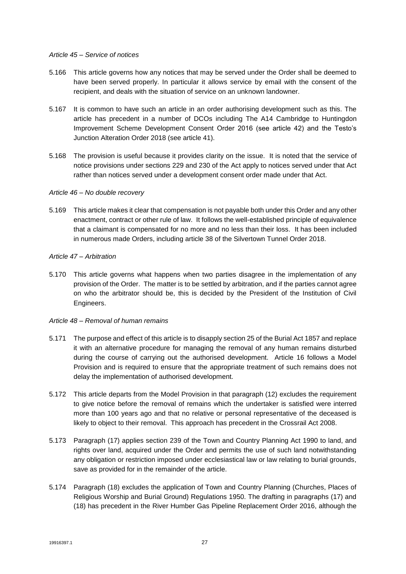#### *Article 45 – Service of notices*

- 5.166 This article governs how any notices that may be served under the Order shall be deemed to have been served properly. In particular it allows service by email with the consent of the recipient, and deals with the situation of service on an unknown landowner.
- 5.167 It is common to have such an article in an order authorising development such as this. The article has precedent in a number of DCOs including The A14 Cambridge to Huntingdon Improvement Scheme Development Consent Order 2016 (see article 42) and the Testo's Junction Alteration Order 2018 (see article 41).
- 5.168 The provision is useful because it provides clarity on the issue. It is noted that the service of notice provisions under sections 229 and 230 of the Act apply to notices served under that Act rather than notices served under a development consent order made under that Act.

#### *Article 46 – No double recovery*

5.169 This article makes it clear that compensation is not payable both under this Order and any other enactment, contract or other rule of law. It follows the well-established principle of equivalence that a claimant is compensated for no more and no less than their loss. It has been included in numerous made Orders, including article 38 of the Silvertown Tunnel Order 2018.

#### *Article 47 – Arbitration*

5.170 This article governs what happens when two parties disagree in the implementation of any provision of the Order. The matter is to be settled by arbitration, and if the parties cannot agree on who the arbitrator should be, this is decided by the President of the Institution of Civil Engineers.

#### *Article 48 – Removal of human remains*

- 5.171 The purpose and effect of this article is to disapply section 25 of the Burial Act 1857 and replace it with an alternative procedure for managing the removal of any human remains disturbed during the course of carrying out the authorised development. Article 16 follows a Model Provision and is required to ensure that the appropriate treatment of such remains does not delay the implementation of authorised development.
- 5.172 This article departs from the Model Provision in that paragraph (12) excludes the requirement to give notice before the removal of remains which the undertaker is satisfied were interred more than 100 years ago and that no relative or personal representative of the deceased is likely to object to their removal. This approach has precedent in the Crossrail Act 2008.
- 5.173 Paragraph (17) applies section 239 of the Town and Country Planning Act 1990 to land, and rights over land, acquired under the Order and permits the use of such land notwithstanding any obligation or restriction imposed under ecclesiastical law or law relating to burial grounds, save as provided for in the remainder of the article.
- 5.174 Paragraph (18) excludes the application of Town and Country Planning (Churches, Places of Religious Worship and Burial Ground) Regulations 1950. The drafting in paragraphs (17) and (18) has precedent in the River Humber Gas Pipeline Replacement Order 2016, although the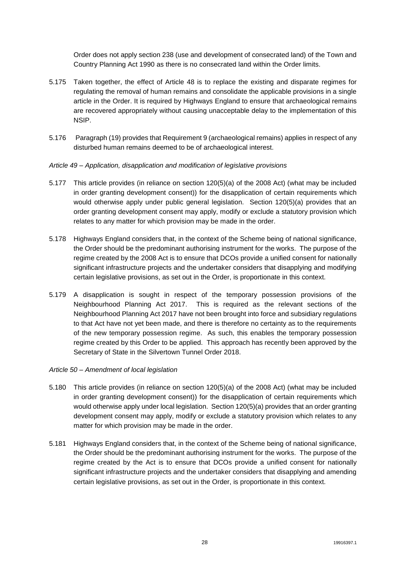Order does not apply section 238 (use and development of consecrated land) of the Town and Country Planning Act 1990 as there is no consecrated land within the Order limits.

- 5.175 Taken together, the effect of Article 48 is to replace the existing and disparate regimes for regulating the removal of human remains and consolidate the applicable provisions in a single article in the Order. It is required by Highways England to ensure that archaeological remains are recovered appropriately without causing unacceptable delay to the implementation of this NSIP.
- 5.176 Paragraph (19) provides that Requirement 9 (archaeological remains) applies in respect of any disturbed human remains deemed to be of archaeological interest.

#### *Article 49 – Application, disapplication and modification of legislative provisions*

- 5.177 This article provides (in reliance on section 120(5)(a) of the 2008 Act) (what may be included in order granting development consent)) for the disapplication of certain requirements which would otherwise apply under public general legislation. Section 120(5)(a) provides that an order granting development consent may apply, modify or exclude a statutory provision which relates to any matter for which provision may be made in the order.
- 5.178 Highways England considers that, in the context of the Scheme being of national significance, the Order should be the predominant authorising instrument for the works. The purpose of the regime created by the 2008 Act is to ensure that DCOs provide a unified consent for nationally significant infrastructure projects and the undertaker considers that disapplying and modifying certain legislative provisions, as set out in the Order, is proportionate in this context.
- 5.179 A disapplication is sought in respect of the temporary possession provisions of the Neighbourhood Planning Act 2017. This is required as the relevant sections of the Neighbourhood Planning Act 2017 have not been brought into force and subsidiary regulations to that Act have not yet been made, and there is therefore no certainty as to the requirements of the new temporary possession regime. As such, this enables the temporary possession regime created by this Order to be applied. This approach has recently been approved by the Secretary of State in the Silvertown Tunnel Order 2018.

#### *Article 50 – Amendment of local legislation*

- 5.180 This article provides (in reliance on section 120(5)(a) of the 2008 Act) (what may be included in order granting development consent)) for the disapplication of certain requirements which would otherwise apply under local legislation. Section 120(5)(a) provides that an order granting development consent may apply, modify or exclude a statutory provision which relates to any matter for which provision may be made in the order.
- 5.181 Highways England considers that, in the context of the Scheme being of national significance, the Order should be the predominant authorising instrument for the works. The purpose of the regime created by the Act is to ensure that DCOs provide a unified consent for nationally significant infrastructure projects and the undertaker considers that disapplying and amending certain legislative provisions, as set out in the Order, is proportionate in this context.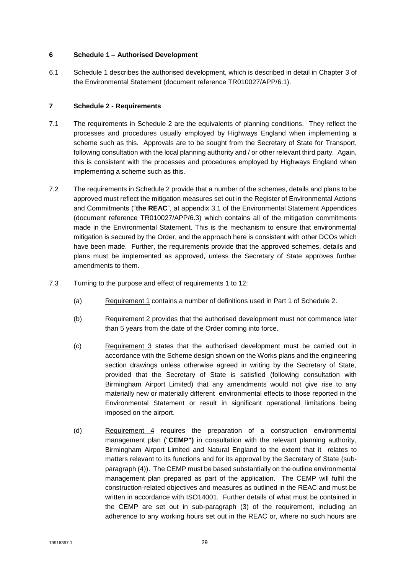#### **6 Schedule 1 – Authorised Development**

6.1 Schedule 1 describes the authorised development, which is described in detail in Chapter 3 of the Environmental Statement (document reference TR010027/APP/6.1).

#### **7 Schedule 2 - Requirements**

- 7.1 The requirements in Schedule 2 are the equivalents of planning conditions. They reflect the processes and procedures usually employed by Highways England when implementing a scheme such as this. Approvals are to be sought from the Secretary of State for Transport, following consultation with the local planning authority and / or other relevant third party. Again, this is consistent with the processes and procedures employed by Highways England when implementing a scheme such as this.
- 7.2 The requirements in Schedule 2 provide that a number of the schemes, details and plans to be approved must reflect the mitigation measures set out in the Register of Environmental Actions and Commitments ("**the REAC**", at appendix 3.1 of the Environmental Statement Appendices (document reference TR010027/APP/6.3) which contains all of the mitigation commitments made in the Environmental Statement. This is the mechanism to ensure that environmental mitigation is secured by the Order, and the approach here is consistent with other DCOs which have been made. Further, the requirements provide that the approved schemes, details and plans must be implemented as approved, unless the Secretary of State approves further amendments to them.
- 7.3 Turning to the purpose and effect of requirements 1 to 12:
	- (a) Requirement 1 contains a number of definitions used in Part 1 of Schedule 2.
	- (b) Requirement 2 provides that the authorised development must not commence later than 5 years from the date of the Order coming into force.
	- (c) Requirement 3 states that the authorised development must be carried out in accordance with the Scheme design shown on the Works plans and the engineering section drawings unless otherwise agreed in writing by the Secretary of State, provided that the Secretary of State is satisfied (following consultation with Birmingham Airport Limited) that any amendments would not give rise to any materially new or materially different environmental effects to those reported in the Environmental Statement or result in significant operational limitations being imposed on the airport.
	- (d) Requirement 4 requires the preparation of a construction environmental management plan ("**CEMP")** in consultation with the relevant planning authority, Birmingham Airport Limited and Natural England to the extent that it relates to matters relevant to its functions and for its approval by the Secretary of State (subparagraph (4)). The CEMP must be based substantially on the outline environmental management plan prepared as part of the application. The CEMP will fulfil the construction-related objectives and measures as outlined in the REAC and must be written in accordance with ISO14001. Further details of what must be contained in the CEMP are set out in sub-paragraph (3) of the requirement, including an adherence to any working hours set out in the REAC or, where no such hours are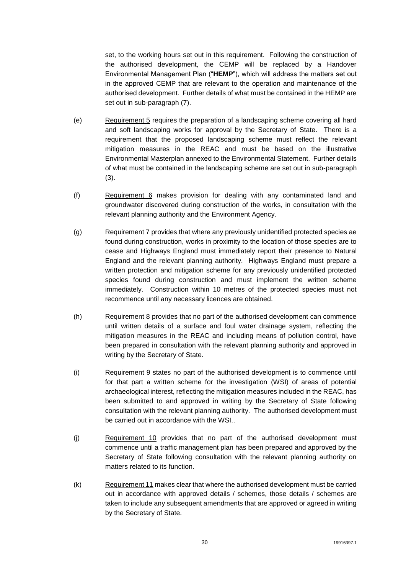set, to the working hours set out in this requirement. Following the construction of the authorised development, the CEMP will be replaced by a Handover Environmental Management Plan ("**HEMP**"), which will address the matters set out in the approved CEMP that are relevant to the operation and maintenance of the authorised development. Further details of what must be contained in the HEMP are set out in sub-paragraph (7).

- (e) Requirement 5 requires the preparation of a landscaping scheme covering all hard and soft landscaping works for approval by the Secretary of State. There is a requirement that the proposed landscaping scheme must reflect the relevant mitigation measures in the REAC and must be based on the illustrative Environmental Masterplan annexed to the Environmental Statement. Further details of what must be contained in the landscaping scheme are set out in sub-paragraph (3).
- (f) Requirement 6 makes provision for dealing with any contaminated land and groundwater discovered during construction of the works, in consultation with the relevant planning authority and the Environment Agency.
- (g) Requirement 7 provides that where any previously unidentified protected species ae found during construction, works in proximity to the location of those species are to cease and Highways England must immediately report their presence to Natural England and the relevant planning authority. Highways England must prepare a written protection and mitigation scheme for any previously unidentified protected species found during construction and must implement the written scheme immediately. Construction within 10 metres of the protected species must not recommence until any necessary licences are obtained.
- (h) Requirement 8 provides that no part of the authorised development can commence until written details of a surface and foul water drainage system, reflecting the mitigation measures in the REAC and including means of pollution control, have been prepared in consultation with the relevant planning authority and approved in writing by the Secretary of State.
- (i) Requirement 9 states no part of the authorised development is to commence until for that part a written scheme for the investigation (WSI) of areas of potential archaeological interest, reflecting the mitigation measures included in the REAC, has been submitted to and approved in writing by the Secretary of State following consultation with the relevant planning authority. The authorised development must be carried out in accordance with the WSI..
- (j) Requirement 10 provides that no part of the authorised development must commence until a traffic management plan has been prepared and approved by the Secretary of State following consultation with the relevant planning authority on matters related to its function.
- (k) Requirement 11 makes clear that where the authorised development must be carried out in accordance with approved details / schemes, those details / schemes are taken to include any subsequent amendments that are approved or agreed in writing by the Secretary of State.